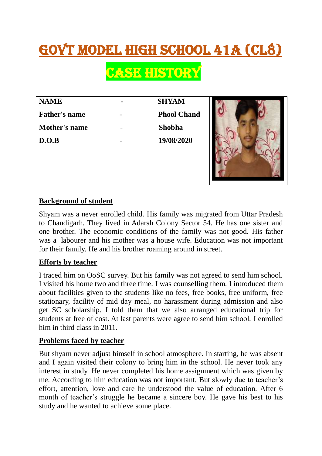# Govt Model High School 41A (CL8)

**CASE HISTORY** 

| <b>NAME</b>          | <b>SHYAM</b>       |
|----------------------|--------------------|
| <b>Father's name</b> | <b>Phool Chand</b> |
| Mother's name        | <b>Shobha</b>      |
| D.O.B                | 19/08/2020         |
|                      |                    |



## **Background of student**

Shyam was a never enrolled child. His family was migrated from Uttar Pradesh to Chandigarh. They lived in Adarsh Colony Sector 54. He has one sister and one brother. The economic conditions of the family was not good. His father was a labourer and his mother was a house wife. Education was not important for their family. He and his brother roaming around in street.

## **Efforts by teacher**

I traced him on OoSC survey. But his family was not agreed to send him school. I visited his home two and three time. I was counselling them. I introduced them about facilities given to the students like no fees, free books, free uniform, free stationary, facility of mid day meal, no harassment during admission and also get SC scholarship. I told them that we also arranged educational trip for students at free of cost. At last parents were agree to send him school. I enrolled him in third class in 2011.

## **Problems faced by teacher**

But shyam never adjust himself in school atmosphere. In starting, he was absent and I again visited their colony to bring him in the school. He never took any interest in study. He never completed his home assignment which was given by me. According to him education was not important. But slowly due to teacher's effort, attention, love and care he understood the value of education. After 6 month of teacher's struggle he became a sincere boy. He gave his best to his study and he wanted to achieve some place.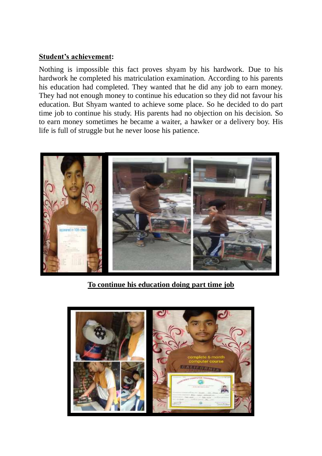### **Student's achievement:**

Nothing is impossible this fact proves shyam by his hardwork. Due to his hardwork he completed his matriculation examination. According to his parents his education had completed. They wanted that he did any job to earn money. They had not enough money to continue his education so they did not favour his education. But Shyam wanted to achieve some place. So he decided to do part time job to continue his study. His parents had no objection on his decision. So to earn money sometimes he became a waiter, a hawker or a delivery boy. His life is full of struggle but he never loose his patience.



**To continue his education doing part time job**